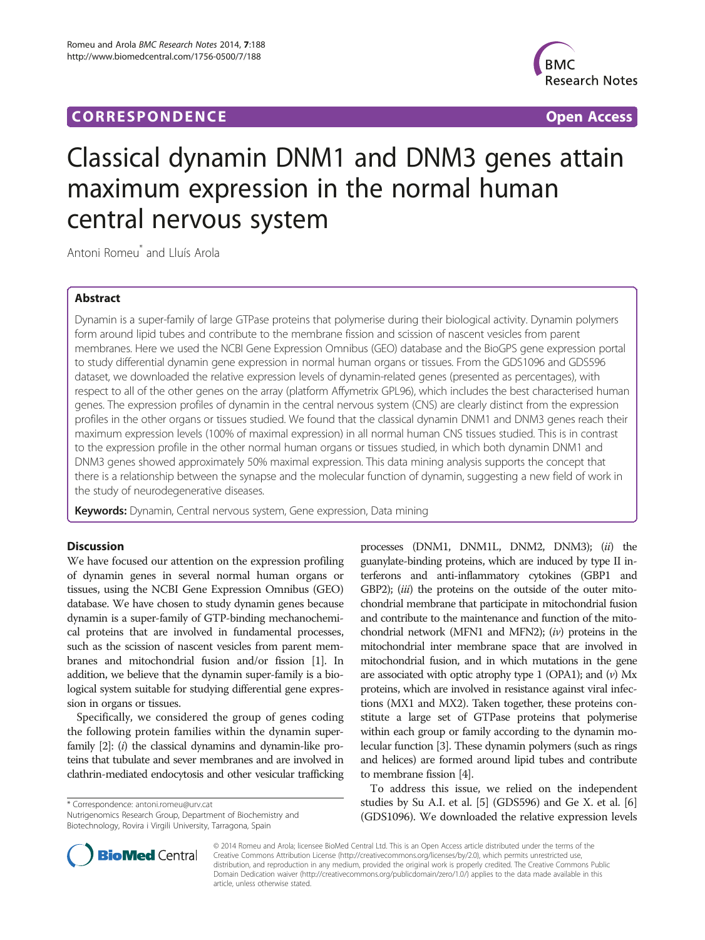## **CORRESPONDENCE CORRESPONDENCE** *CORRESPONDENCE*



# Classical dynamin DNM1 and DNM3 genes attain maximum expression in the normal human central nervous system

Antoni Romeu\* and Lluís Arola

## Abstract

Dynamin is a super-family of large GTPase proteins that polymerise during their biological activity. Dynamin polymers form around lipid tubes and contribute to the membrane fission and scission of nascent vesicles from parent membranes. Here we used the NCBI Gene Expression Omnibus (GEO) database and the BioGPS gene expression portal to study differential dynamin gene expression in normal human organs or tissues. From the GDS1096 and GDS596 dataset, we downloaded the relative expression levels of dynamin-related genes (presented as percentages), with respect to all of the other genes on the array (platform Affymetrix GPL96), which includes the best characterised human genes. The expression profiles of dynamin in the central nervous system (CNS) are clearly distinct from the expression profiles in the other organs or tissues studied. We found that the classical dynamin DNM1 and DNM3 genes reach their maximum expression levels (100% of maximal expression) in all normal human CNS tissues studied. This is in contrast to the expression profile in the other normal human organs or tissues studied, in which both dynamin DNM1 and DNM3 genes showed approximately 50% maximal expression. This data mining analysis supports the concept that there is a relationship between the synapse and the molecular function of dynamin, suggesting a new field of work in the study of neurodegenerative diseases.

Keywords: Dynamin, Central nervous system, Gene expression, Data mining

## **Discussion**

We have focused our attention on the expression profiling of dynamin genes in several normal human organs or tissues, using the NCBI Gene Expression Omnibus (GEO) database. We have chosen to study dynamin genes because dynamin is a super-family of GTP-binding mechanochemical proteins that are involved in fundamental processes, such as the scission of nascent vesicles from parent membranes and mitochondrial fusion and/or fission [\[1](#page-3-0)]. In addition, we believe that the dynamin super-family is a biological system suitable for studying differential gene expression in organs or tissues.

Specifically, we considered the group of genes coding the following protein families within the dynamin super-family [[2](#page-3-0)]: (*i*) the classical dynamins and dynamin-like proteins that tubulate and sever membranes and are involved in clathrin-mediated endocytosis and other vesicular trafficking

\* Correspondence: [antoni.romeu@urv.cat](mailto:antoni.romeu@urv.cat)

Nutrigenomics Research Group, Department of Biochemistry and Biotechnology, Rovira i Virgili University, Tarragona, Spain



To address this issue, we relied on the independent studies by Su A.I. et al. [\[5](#page-3-0)] (GDS596) and Ge X. et al. [[6](#page-3-0)] (GDS1096). We downloaded the relative expression levels



© 2014 Romeu and Arola; licensee BioMed Central Ltd. This is an Open Access article distributed under the terms of the Creative Commons Attribution License (<http://creativecommons.org/licenses/by/2.0>), which permits unrestricted use, distribution, and reproduction in any medium, provided the original work is properly credited. The Creative Commons Public Domain Dedication waiver [\(http://creativecommons.org/publicdomain/zero/1.0/\)](http://creativecommons.org/publicdomain/zero/1.0/) applies to the data made available in this article, unless otherwise stated.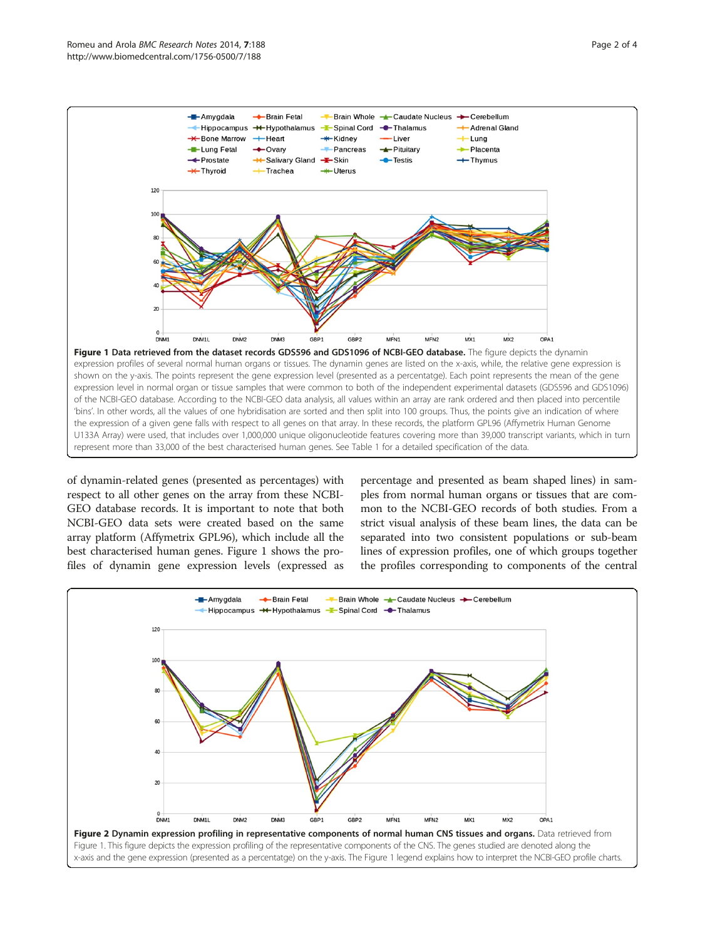<span id="page-1-0"></span>

of dynamin-related genes (presented as percentages) with respect to all other genes on the array from these NCBI-GEO database records. It is important to note that both NCBI-GEO data sets were created based on the same array platform (Affymetrix GPL96), which include all the best characterised human genes. Figure 1 shows the profiles of dynamin gene expression levels (expressed as

percentage and presented as beam shaped lines) in samples from normal human organs or tissues that are common to the NCBI-GEO records of both studies. From a strict visual analysis of these beam lines, the data can be separated into two consistent populations or sub-beam lines of expression profiles, one of which groups together the profiles corresponding to components of the central

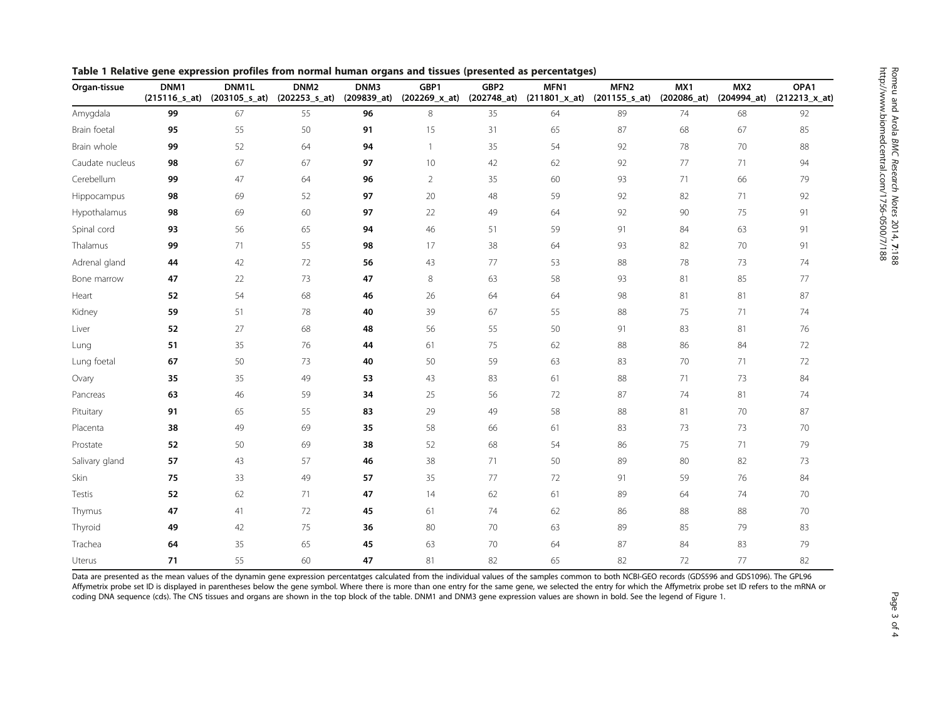<span id="page-2-0"></span>

| Organ-tissue    | DNM1<br>$(215116$ <sub>_5</sub> _at) | DNM1L | DNM <sub>2</sub><br>(203105_s_at) (202253_s_at) | DNM3<br>(209839_at) | GBP1<br>(202269_x_at) | GBP2<br>(202748_at) | MFN1 | MFN <sub>2</sub><br>$(211801_x_at)$ $(201155_s_at)$ | MX1<br>$(202086 \text{ a})$ | MX <sub>2</sub><br>(204994_at) | OPA1<br>$(212213_x \times at)$ |
|-----------------|--------------------------------------|-------|-------------------------------------------------|---------------------|-----------------------|---------------------|------|-----------------------------------------------------|-----------------------------|--------------------------------|--------------------------------|
| Amygdala        | 99                                   | 67    | 55                                              | 96                  | 8                     | 35                  | 64   | 89                                                  | 74                          | 68                             | 92                             |
| Brain foetal    | 95                                   | 55    | 50                                              | 91                  | 15                    | 31                  | 65   | 87                                                  | 68                          | 67                             | 85                             |
| Brain whole     | 99                                   | 52    | 64                                              | 94                  | $\mathbf{1}$          | 35                  | 54   | 92                                                  | 78                          | 70                             | 88                             |
| Caudate nucleus | 98                                   | 67    | 67                                              | 97                  | 10                    | 42                  | 62   | 92                                                  | 77                          | 71                             | 94                             |
| Cerebellum      | 99                                   | 47    | 64                                              | 96                  | $\overline{2}$        | 35                  | 60   | 93                                                  | 71                          | 66                             | 79                             |
| Hippocampus     | 98                                   | 69    | 52                                              | 97                  | 20                    | 48                  | 59   | 92                                                  | 82                          | 71                             | 92                             |
| Hypothalamus    | 98                                   | 69    | 60                                              | 97                  | 22                    | 49                  | 64   | 92                                                  | 90                          | 75                             | 91                             |
| Spinal cord     | 93                                   | 56    | 65                                              | 94                  | 46                    | 51                  | 59   | 91                                                  | 84                          | 63                             | 91                             |
| Thalamus        | 99                                   | 71    | 55                                              | 98                  | 17                    | 38                  | 64   | 93                                                  | 82                          | 70                             | 91                             |
| Adrenal gland   | 44                                   | 42    | 72                                              | 56                  | 43                    | 77                  | 53   | 88                                                  | 78                          | 73                             | 74                             |
| Bone marrow     | 47                                   | 22    | 73                                              | 47                  | 8                     | 63                  | 58   | 93                                                  | 81                          | 85                             | 77                             |
| Heart           | 52                                   | 54    | 68                                              | 46                  | 26                    | 64                  | 64   | 98                                                  | 81                          | 81                             | 87                             |
| Kidney          | 59                                   | 51    | 78                                              | 40                  | 39                    | 67                  | 55   | 88                                                  | 75                          | 71                             | 74                             |
| Liver           | 52                                   | 27    | 68                                              | 48                  | 56                    | 55                  | 50   | 91                                                  | 83                          | 81                             | 76                             |
| Lung            | 51                                   | 35    | 76                                              | 44                  | 61                    | 75                  | 62   | 88                                                  | 86                          | 84                             | 72                             |
| Lung foetal     | 67                                   | 50    | 73                                              | 40                  | 50                    | 59                  | 63   | 83                                                  | 70                          | 71                             | 72                             |
| Ovary           | 35                                   | 35    | 49                                              | 53                  | 43                    | 83                  | 61   | 88                                                  | 71                          | 73                             | 84                             |
| Pancreas        | 63                                   | 46    | 59                                              | 34                  | 25                    | 56                  | 72   | 87                                                  | 74                          | 81                             | 74                             |
| Pituitary       | 91                                   | 65    | 55                                              | 83                  | 29                    | 49                  | 58   | 88                                                  | 81                          | 70                             | 87                             |
| Placenta        | 38                                   | 49    | 69                                              | 35                  | 58                    | 66                  | 61   | 83                                                  | 73                          | 73                             | 70                             |
| Prostate        | 52                                   | 50    | 69                                              | 38                  | 52                    | 68                  | 54   | 86                                                  | 75                          | 71                             | 79                             |
| Salivary gland  | 57                                   | 43    | 57                                              | 46                  | 38                    | 71                  | 50   | 89                                                  | 80                          | 82                             | 73                             |
| Skin            | 75                                   | 33    | 49                                              | 57                  | 35                    | 77                  | 72   | 91                                                  | 59                          | 76                             | 84                             |
| Testis          | 52                                   | 62    | 71                                              | 47                  | 14                    | 62                  | 61   | 89                                                  | 64                          | 74                             | 70                             |
| Thymus          | 47                                   | 41    | 72                                              | 45                  | 61                    | 74                  | 62   | 86                                                  | 88                          | 88                             | 70                             |
| Thyroid         | 49                                   | 42    | 75                                              | 36                  | 80                    | 70                  | 63   | 89                                                  | 85                          | 79                             | 83                             |
| Trachea         | 64                                   | 35    | 65                                              | 45                  | 63                    | 70                  | 64   | 87                                                  | 84                          | 83                             | 79                             |
| Uterus          | 71                                   | 55    | 60                                              | 47                  | 81                    | 82                  | 65   | 82                                                  | 72                          | 77                             | 82                             |

Data are presented as the mean values of the dynamin gene expression percentatges calculated from the individual values of the samples common to both NCBI-GEO records (GDS596 and GDS1096). The GPL96 Affymetrix probe set ID is displayed in parentheses below the gene symbol. Where there is more than one entry for the same gene, we selected the entry for which the Affymetrix probe set ID refers to the mRNA or coding DNA sequence (cds). The CNS tissues and organs are shown in the top block of the table. DNM1 and DNM3 gene expression values are shown in bold. See the legend of Figure [1](#page-1-0).